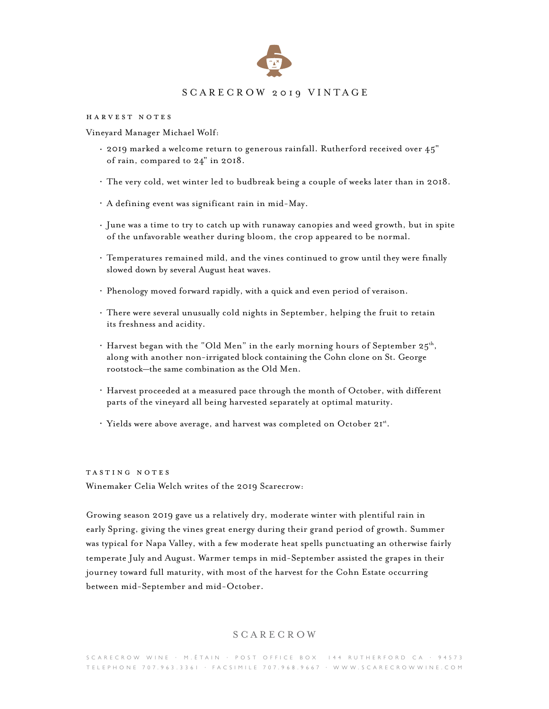

## SCARECROW 2019 VINTAGE

harvest notes

Vineyard Manager Michael Wolf:

- 2019 marked a welcome return to generous rainfall. Rutherford received over 45" of rain, compared to 24" in 2018.
- The very cold, wet winter led to budbreak being a couple of weeks later than in 2018.
- A defining event was significant rain in mid-May.
- June was a time to try to catch up with runaway canopies and weed growth, but in spite of the unfavorable weather during bloom, the crop appeared to be normal.
- Temperatures remained mild, and the vines continued to grow until they were finally slowed down by several August heat waves.
- Phenology moved forward rapidly, with a quick and even period of veraison.
- There were several unusually cold nights in September, helping the fruit to retain its freshness and acidity.
- Harvest began with the "Old Men" in the early morning hours of September  $25^{th}$ , along with another non-irrigated block containing the Cohn clone on St. George rootstock—the same combination as the Old Men.
- Harvest proceeded at a measured pace through the month of October, with different parts of the vineyard all being harvested separately at optimal maturity.
- . Yields were above average, and harvest was completed on October 2Ist.

tasting notes Winemaker Celia Welch writes of the 2019 Scarecrow:

Growing season 2019 gave us a relatively dry, moderate winter with plentiful rain in early Spring, giving the vines great energy during their grand period of growth. Summer was typical for Napa Valley, with a few moderate heat spells punctuating an otherwise fairly temperate July and August. Warmer temps in mid-September assisted the grapes in their journey toward full maturity, with most of the harvest for the Cohn Estate occurring between mid-September and mid-October.

## SCARECROW